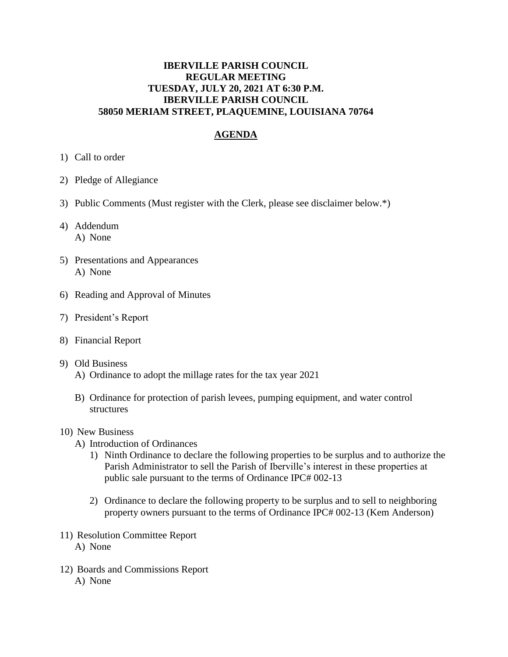# **IBERVILLE PARISH COUNCIL REGULAR MEETING TUESDAY, JULY 20, 2021 AT 6:30 P.M. IBERVILLE PARISH COUNCIL 58050 MERIAM STREET, PLAQUEMINE, LOUISIANA 70764**

# **AGENDA**

- 1) Call to order
- 2) Pledge of Allegiance
- 3) Public Comments (Must register with the Clerk, please see disclaimer below.\*)
- 4) Addendum A) None
- 5) Presentations and Appearances A) None
- 6) Reading and Approval of Minutes
- 7) President's Report
- 8) Financial Report

#### 9) Old Business

- A) Ordinance to adopt the millage rates for the tax year 2021
- B) Ordinance for protection of parish levees, pumping equipment, and water control structures

#### 10) New Business

- A) Introduction of Ordinances
	- 1) Ninth Ordinance to declare the following properties to be surplus and to authorize the Parish Administrator to sell the Parish of Iberville's interest in these properties at public sale pursuant to the terms of Ordinance IPC# 002-13
	- 2) Ordinance to declare the following property to be surplus and to sell to neighboring property owners pursuant to the terms of Ordinance IPC# 002-13 (Kem Anderson)
- 11) Resolution Committee Report A) None
- 12) Boards and Commissions Report A) None